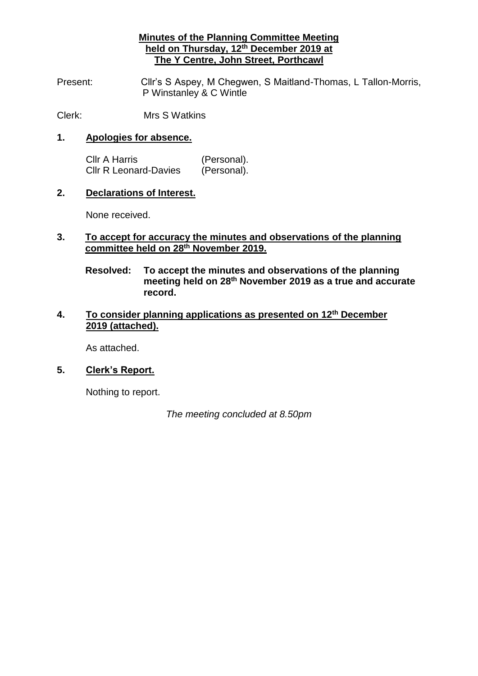## **Minutes of the Planning Committee Meeting held on Thursday, 12th December 2019 at The Y Centre, John Street, Porthcawl**

Present: Cllr's S Aspey, M Chegwen, S Maitland-Thomas, L Tallon-Morris, P Winstanley & C Wintle

Clerk: Mrs S Watkins

#### **1. Apologies for absence.**

Cllr A Harris (Personal). Cllr R Leonard-Davies (Personal).

#### **2. Declarations of Interest.**

None received.

## **3. To accept for accuracy the minutes and observations of the planning committee held on 28th November 2019.**

**Resolved: To accept the minutes and observations of the planning meeting held on 28th November 2019 as a true and accurate record.**

### **4. To consider planning applications as presented on 12th December 2019 (attached).**

As attached.

### **5. Clerk's Report.**

Nothing to report.

*The meeting concluded at 8.50pm*